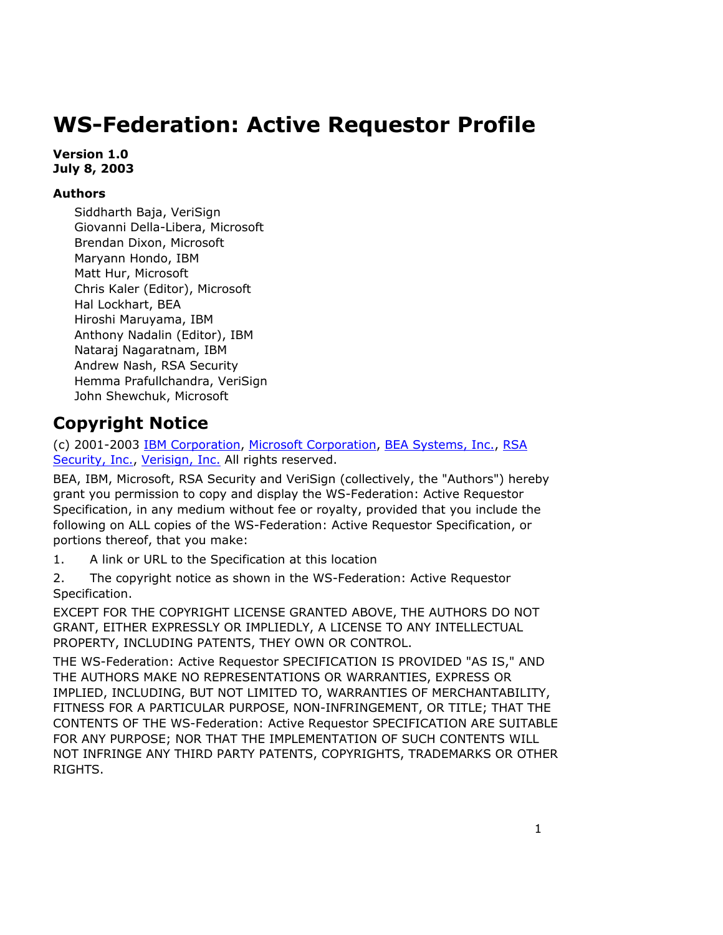# **WS-Federation: Active Requestor Profile**

**Version 1.0 July 8, 2003** 

### **Authors**

Siddharth Baja, VeriSign Giovanni Della-Libera, Microsoft Brendan Dixon, Microsoft Maryann Hondo, IBM Matt Hur, Microsoft Chris Kaler (Editor), Microsoft Hal Lockhart, BEA Hiroshi Maruyama, IBM Anthony Nadalin (Editor), IBM Nataraj Nagaratnam, IBM Andrew Nash, RSA Security Hemma Prafullchandra, VeriSign John Shewchuk, Microsoft

## **Copyright Notice**

(c) 2001-2003 IBM Corporation, Microsoft Corporation, BEA Systems, Inc., RSA Security, Inc., Verisign, Inc. All rights reserved.

BEA, IBM, Microsoft, RSA Security and VeriSign (collectively, the "Authors") hereby grant you permission to copy and display the WS-Federation: Active Requestor Specification, in any medium without fee or royalty, provided that you include the following on ALL copies of the WS-Federation: Active Requestor Specification, or portions thereof, that you make:

1. A link or URL to the Specification at this location

2. The copyright notice as shown in the WS-Federation: Active Requestor Specification.

EXCEPT FOR THE COPYRIGHT LICENSE GRANTED ABOVE, THE AUTHORS DO NOT GRANT, EITHER EXPRESSLY OR IMPLIEDLY, A LICENSE TO ANY INTELLECTUAL PROPERTY, INCLUDING PATENTS, THEY OWN OR CONTROL.

THE WS-Federation: Active Requestor SPECIFICATION IS PROVIDED "AS IS," AND THE AUTHORS MAKE NO REPRESENTATIONS OR WARRANTIES, EXPRESS OR IMPLIED, INCLUDING, BUT NOT LIMITED TO, WARRANTIES OF MERCHANTABILITY, FITNESS FOR A PARTICULAR PURPOSE, NON-INFRINGEMENT, OR TITLE; THAT THE CONTENTS OF THE WS-Federation: Active Requestor SPECIFICATION ARE SUITABLE FOR ANY PURPOSE; NOR THAT THE IMPLEMENTATION OF SUCH CONTENTS WILL NOT INFRINGE ANY THIRD PARTY PATENTS, COPYRIGHTS, TRADEMARKS OR OTHER RIGHTS.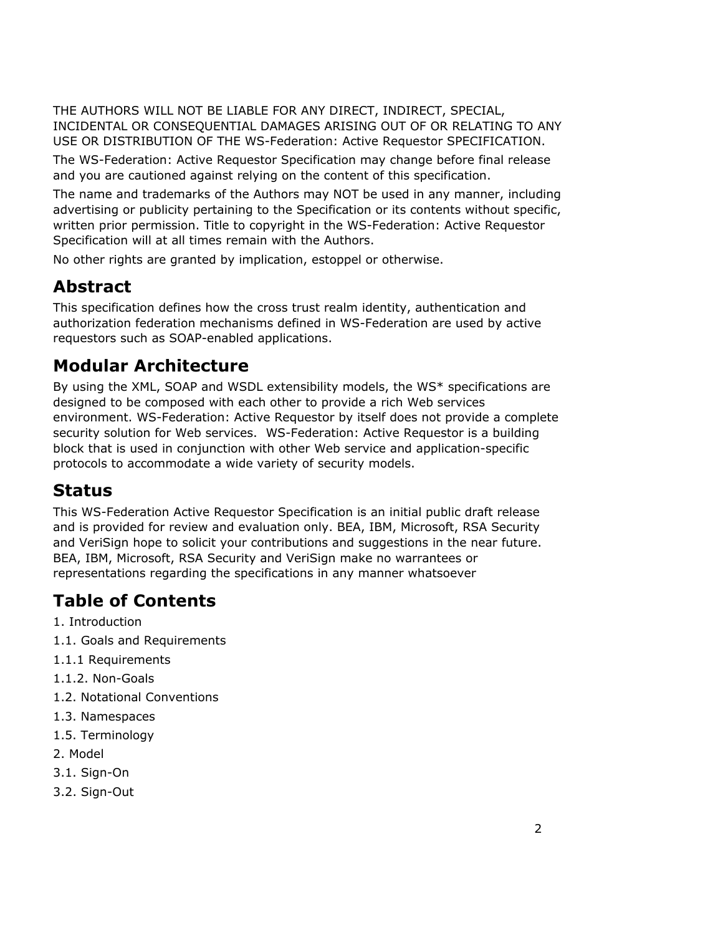THE AUTHORS WILL NOT BE LIABLE FOR ANY DIRECT, INDIRECT, SPECIAL, INCIDENTAL OR CONSEQUENTIAL DAMAGES ARISING OUT OF OR RELATING TO ANY USE OR DISTRIBUTION OF THE WS-Federation: Active Requestor SPECIFICATION.

The WS-Federation: Active Requestor Specification may change before final release and you are cautioned against relying on the content of this specification.

The name and trademarks of the Authors may NOT be used in any manner, including advertising or publicity pertaining to the Specification or its contents without specific, written prior permission. Title to copyright in the WS-Federation: Active Requestor Specification will at all times remain with the Authors.

No other rights are granted by implication, estoppel or otherwise.

# **Abstract**

This specification defines how the cross trust realm identity, authentication and authorization federation mechanisms defined in WS-Federation are used by active requestors such as SOAP-enabled applications.

# **Modular Architecture**

By using the XML, SOAP and WSDL extensibility models, the WS\* specifications are designed to be composed with each other to provide a rich Web services environment. WS-Federation: Active Requestor by itself does not provide a complete security solution for Web services. WS-Federation: Active Requestor is a building block that is used in conjunction with other Web service and application-specific protocols to accommodate a wide variety of security models.

# **Status**

This WS-Federation Active Requestor Specification is an initial public draft release and is provided for review and evaluation only. BEA, IBM, Microsoft, RSA Security and VeriSign hope to solicit your contributions and suggestions in the near future. BEA, IBM, Microsoft, RSA Security and VeriSign make no warrantees or representations regarding the specifications in any manner whatsoever

# **Table of Contents**

- 1. Introduction
- 1.1. Goals and Requirements
- 1.1.1 Requirements
- 1.1.2. Non-Goals
- 1.2. Notational Conventions
- 1.3. Namespaces
- 1.5. Terminology
- 2. Model
- 3.1. Sign-On
- 3.2. Sign-Out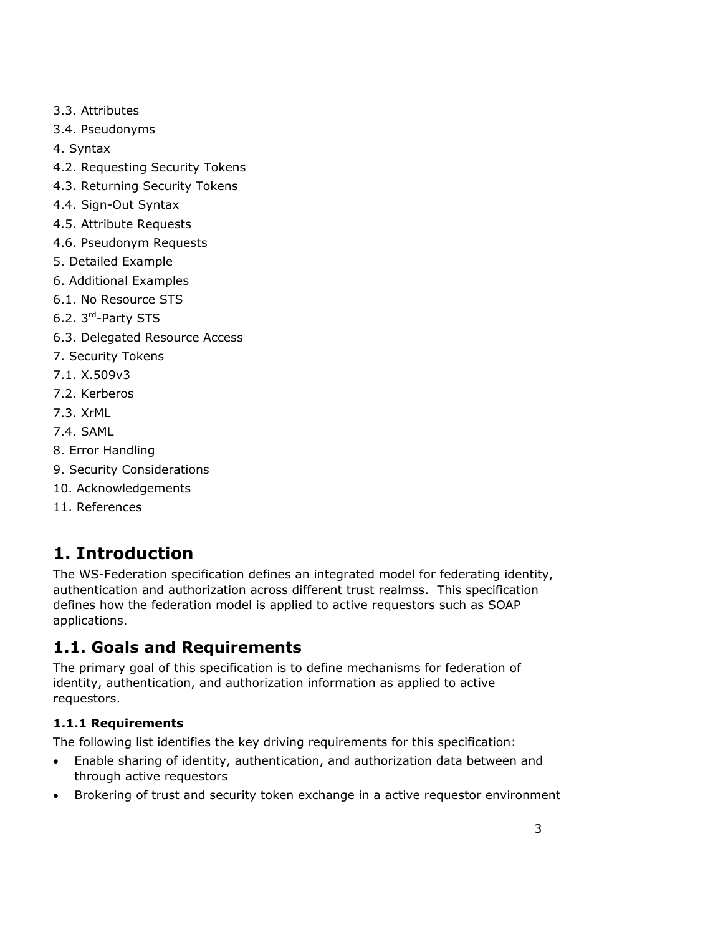- 3.3. Attributes
- 3.4. Pseudonyms
- 4. Syntax
- 4.2. Requesting Security Tokens
- 4.3. Returning Security Tokens
- 4.4. Sign-Out Syntax
- 4.5. Attribute Requests
- 4.6. Pseudonym Requests
- 5. Detailed Example
- 6. Additional Examples
- 6.1. No Resource STS
- 6.2. 3rd-Party STS
- 6.3. Delegated Resource Access
- 7. Security Tokens
- 7.1. X.509v3
- 7.2. Kerberos
- 7.3. XrML
- 7.4. SAML
- 8. Error Handling
- 9. Security Considerations
- 10. Acknowledgements
- 11. References

# **1. Introduction**

The WS-Federation specification defines an integrated model for federating identity, authentication and authorization across different trust realmss. This specification defines how the federation model is applied to active requestors such as SOAP applications.

# **1.1. Goals and Requirements**

The primary goal of this specification is to define mechanisms for federation of identity, authentication, and authorization information as applied to active requestors.

### **1.1.1 Requirements**

The following list identifies the key driving requirements for this specification:

- Enable sharing of identity, authentication, and authorization data between and through active requestors
- Brokering of trust and security token exchange in a active requestor environment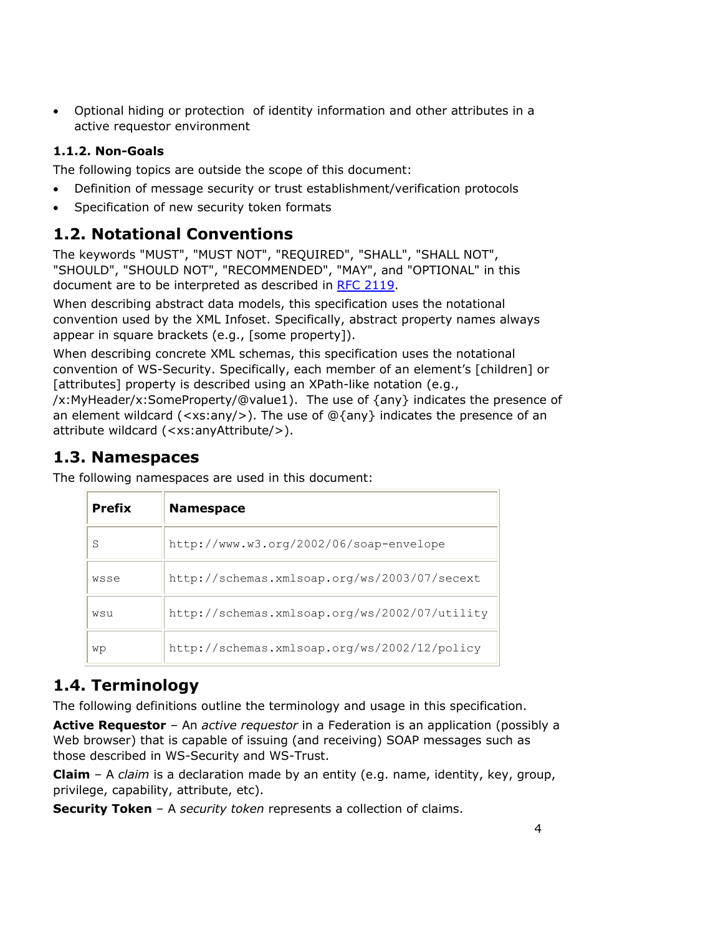• Optional hiding or protection of identity information and other attributes in a active requestor environment

### **1.1.2. Non-Goals**

The following topics are outside the scope of this document:

- Definition of message security or trust establishment/verification protocols
- Specification of new security token formats

### **1.2. Notational Conventions**

The keywords "MUST", "MUST NOT", "REQUIRED", "SHALL", "SHALL NOT", "SHOULD", "SHOULD NOT", "RECOMMENDED", "MAY", and "OPTIONAL" in this document are to be interpreted as described in RFC 2119.

When describing abstract data models, this specification uses the notational convention used by the XML Infoset. Specifically, abstract property names always appear in square brackets (e.g., [some property]).

When describing concrete XML schemas, this specification uses the notational convention of WS-Security. Specifically, each member of an element's [children] or [attributes] property is described using an XPath-like notation (e.g.,

/x:MyHeader/x:SomeProperty/@value1). The use of {any} indicates the presence of an element wildcard  $(\langle xs:any \rangle)$ . The use of  $@$ {any} indicates the presence of an attribute wildcard (<xs:anyAttribute/>).

## **1.3. Namespaces**

The following namespaces are used in this document:

| <b>Prefix</b> | <b>Namespace</b>                              |
|---------------|-----------------------------------------------|
| S             | http://www.w3.org/2002/06/soap-envelope       |
| wsse          | http://schemas.xmlsoap.org/ws/2003/07/secext  |
| wsu           | http://schemas.xmlsoap.org/ws/2002/07/utility |
| wp            | http://schemas.xmlsoap.org/ws/2002/12/policy  |

## **1.4. Terminology**

The following definitions outline the terminology and usage in this specification.

**Active Requestor** – An *active requestor* in a Federation is an application (possibly a Web browser) that is capable of issuing (and receiving) SOAP messages such as those described in WS-Security and WS-Trust.

**Claim** – A *claim* is a declaration made by an entity (e.g. name, identity, key, group, privilege, capability, attribute, etc).

**Security Token** – A *security token* represents a collection of claims.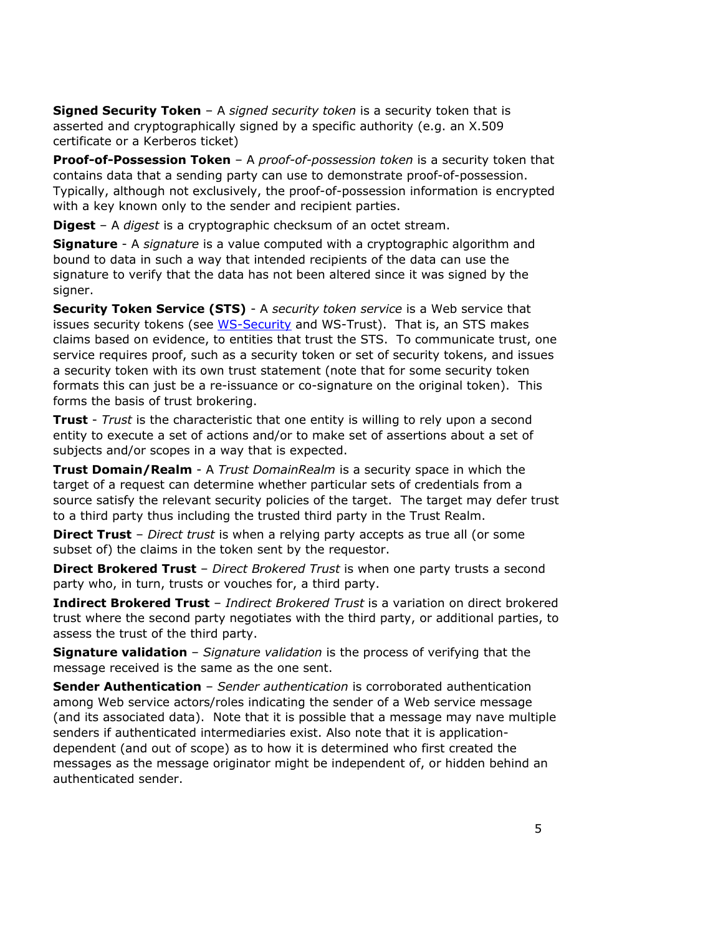**Signed Security Token** – A *signed security token* is a security token that is asserted and cryptographically signed by a specific authority (e.g. an X.509 certificate or a Kerberos ticket)

**Proof-of-Possession Token** – A *proof-of-possession token* is a security token that contains data that a sending party can use to demonstrate proof-of-possession. Typically, although not exclusively, the proof-of-possession information is encrypted with a key known only to the sender and recipient parties.

**Digest** – A *digest* is a cryptographic checksum of an octet stream.

**Signature** - A *signature* is a value computed with a cryptographic algorithm and bound to data in such a way that intended recipients of the data can use the signature to verify that the data has not been altered since it was signed by the signer.

**Security Token Service (STS)** - A *security token service* is a Web service that issues security tokens (see WS-Security and WS-Trust). That is, an STS makes claims based on evidence, to entities that trust the STS. To communicate trust, one service requires proof, such as a security token or set of security tokens, and issues a security token with its own trust statement (note that for some security token formats this can just be a re-issuance or co-signature on the original token). This forms the basis of trust brokering.

**Trust** - *Trust* is the characteristic that one entity is willing to rely upon a second entity to execute a set of actions and/or to make set of assertions about a set of subjects and/or scopes in a way that is expected.

**Trust Domain/Realm** - A *Trust DomainRealm* is a security space in which the target of a request can determine whether particular sets of credentials from a source satisfy the relevant security policies of the target. The target may defer trust to a third party thus including the trusted third party in the Trust Realm.

**Direct Trust** – *Direct trust* is when a relying party accepts as true all (or some subset of) the claims in the token sent by the requestor.

**Direct Brokered Trust** – *Direct Brokered Trust* is when one party trusts a second party who, in turn, trusts or vouches for, a third party.

**Indirect Brokered Trust** – *Indirect Brokered Trust* is a variation on direct brokered trust where the second party negotiates with the third party, or additional parties, to assess the trust of the third party.

**Signature validation** – *Signature validation* is the process of verifying that the message received is the same as the one sent.

**Sender Authentication** – *Sender authentication* is corroborated authentication among Web service actors/roles indicating the sender of a Web service message (and its associated data). Note that it is possible that a message may nave multiple senders if authenticated intermediaries exist. Also note that it is applicationdependent (and out of scope) as to how it is determined who first created the messages as the message originator might be independent of, or hidden behind an authenticated sender.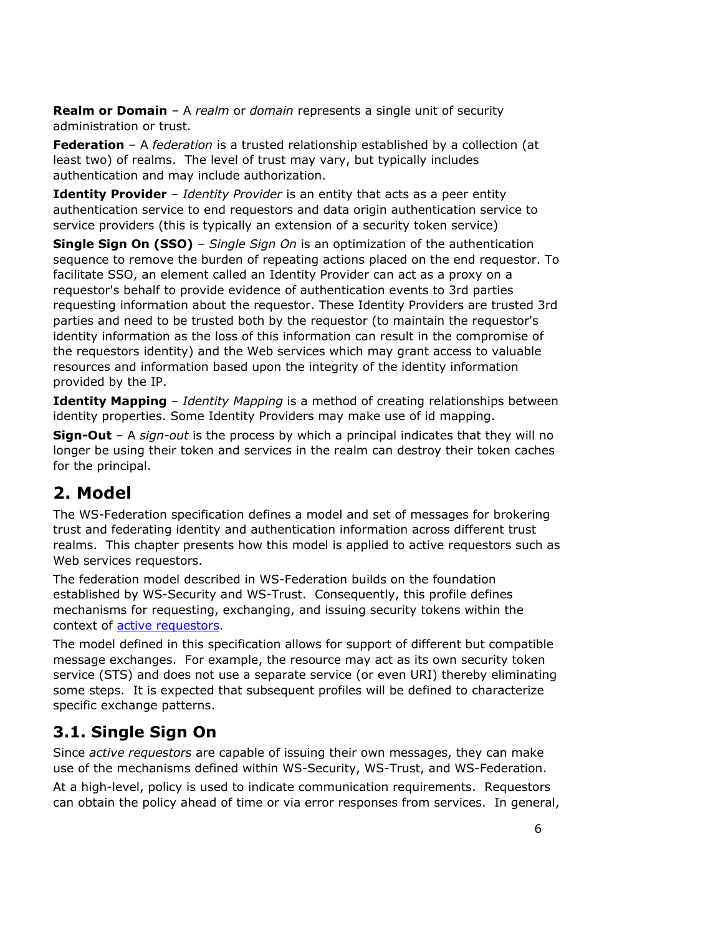**Realm or Domain** – A *realm* or *domain* represents a single unit of security administration or trust.

**Federation** – A *federation* is a trusted relationship established by a collection (at least two) of realms. The level of trust may vary, but typically includes authentication and may include authorization.

**Identity Provider** - *Identity Provider* is an entity that acts as a peer entity authentication service to end requestors and data origin authentication service to service providers (this is typically an extension of a security token service)

**Single Sign On (SSO)** – *Single Sign On* is an optimization of the authentication sequence to remove the burden of repeating actions placed on the end requestor. To facilitate SSO, an element called an Identity Provider can act as a proxy on a requestor's behalf to provide evidence of authentication events to 3rd parties requesting information about the requestor. These Identity Providers are trusted 3rd parties and need to be trusted both by the requestor (to maintain the requestor's identity information as the loss of this information can result in the compromise of the requestors identity) and the Web services which may grant access to valuable resources and information based upon the integrity of the identity information provided by the IP.

**Identity Mapping** – *Identity Mapping* is a method of creating relationships between identity properties. Some Identity Providers may make use of id mapping.

**Sign-Out** – A *sign-out* is the process by which a principal indicates that they will no longer be using their token and services in the realm can destroy their token caches for the principal.

# **2. Model**

The WS-Federation specification defines a model and set of messages for brokering trust and federating identity and authentication information across different trust realms. This chapter presents how this model is applied to active requestors such as Web services requestors.

The federation model described in WS-Federation builds on the foundation established by WS-Security and WS-Trust. Consequently, this profile defines mechanisms for requesting, exchanging, and issuing security tokens within the context of active requestors.

The model defined in this specification allows for support of different but compatible message exchanges. For example, the resource may act as its own security token service (STS) and does not use a separate service (or even URI) thereby eliminating some steps. It is expected that subsequent profiles will be defined to characterize specific exchange patterns.

## **3.1. Single Sign On**

Since *active requestors* are capable of issuing their own messages, they can make use of the mechanisms defined within WS-Security, WS-Trust, and WS-Federation.

At a high-level, policy is used to indicate communication requirements. Requestors can obtain the policy ahead of time or via error responses from services. In general,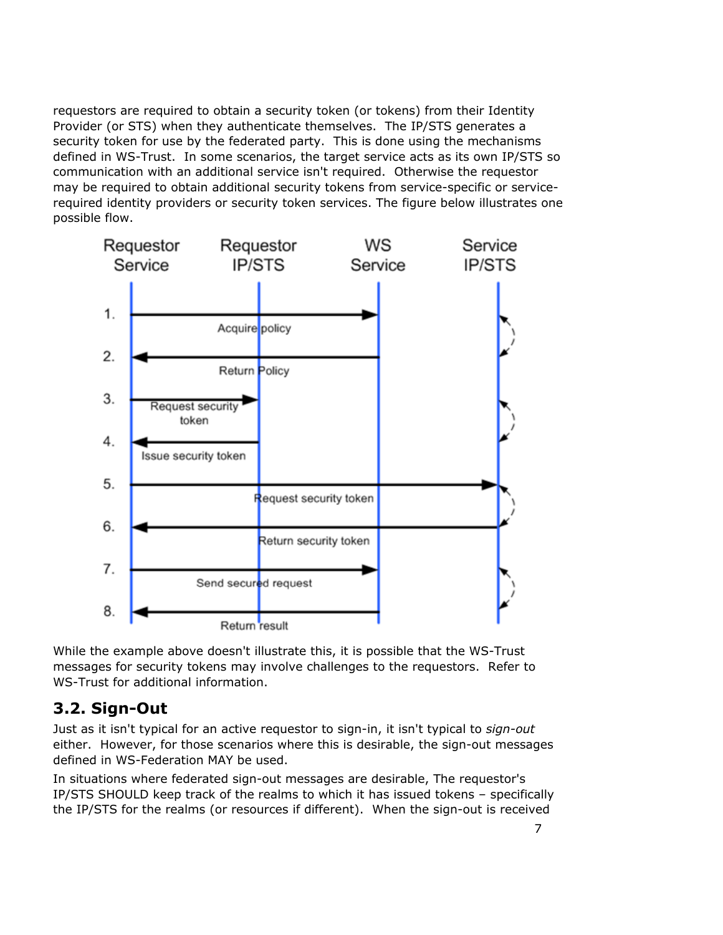requestors are required to obtain a security token (or tokens) from their Identity Provider (or STS) when they authenticate themselves. The IP/STS generates a security token for use by the federated party. This is done using the mechanisms defined in WS-Trust. In some scenarios, the target service acts as its own IP/STS so communication with an additional service isn't required. Otherwise the requestor may be required to obtain additional security tokens from service-specific or servicerequired identity providers or security token services. The figure below illustrates one possible flow.



While the example above doesn't illustrate this, it is possible that the WS-Trust messages for security tokens may involve challenges to the requestors. Refer to WS-Trust for additional information.

### **3.2. Sign-Out**

Just as it isn't typical for an active requestor to sign-in, it isn't typical to *sign-out* either. However, for those scenarios where this is desirable, the sign-out messages defined in WS-Federation MAY be used.

In situations where federated sign-out messages are desirable, The requestor's IP/STS SHOULD keep track of the realms to which it has issued tokens – specifically the IP/STS for the realms (or resources if different). When the sign-out is received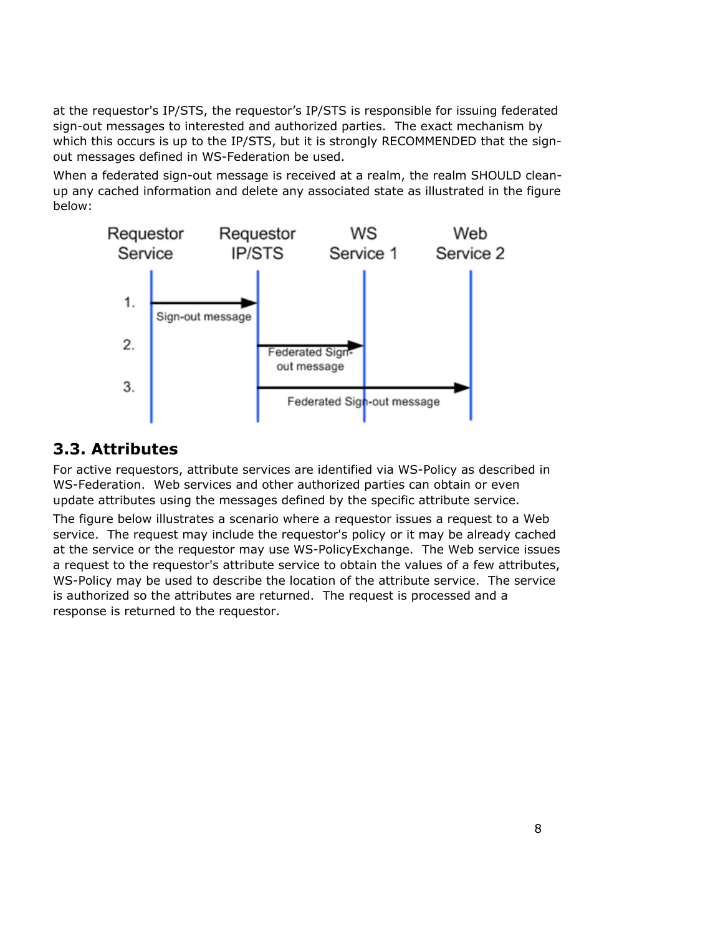at the requestor's IP/STS, the requestor's IP/STS is responsible for issuing federated sign-out messages to interested and authorized parties. The exact mechanism by which this occurs is up to the IP/STS, but it is strongly RECOMMENDED that the signout messages defined in WS-Federation be used.

When a federated sign-out message is received at a realm, the realm SHOULD cleanup any cached information and delete any associated state as illustrated in the figure below:



### **3.3. Attributes**

For active requestors, attribute services are identified via WS-Policy as described in WS-Federation. Web services and other authorized parties can obtain or even update attributes using the messages defined by the specific attribute service.

The figure below illustrates a scenario where a requestor issues a request to a Web service. The request may include the requestor's policy or it may be already cached at the service or the requestor may use WS-PolicyExchange. The Web service issues a request to the requestor's attribute service to obtain the values of a few attributes, WS-Policy may be used to describe the location of the attribute service. The service is authorized so the attributes are returned. The request is processed and a response is returned to the requestor.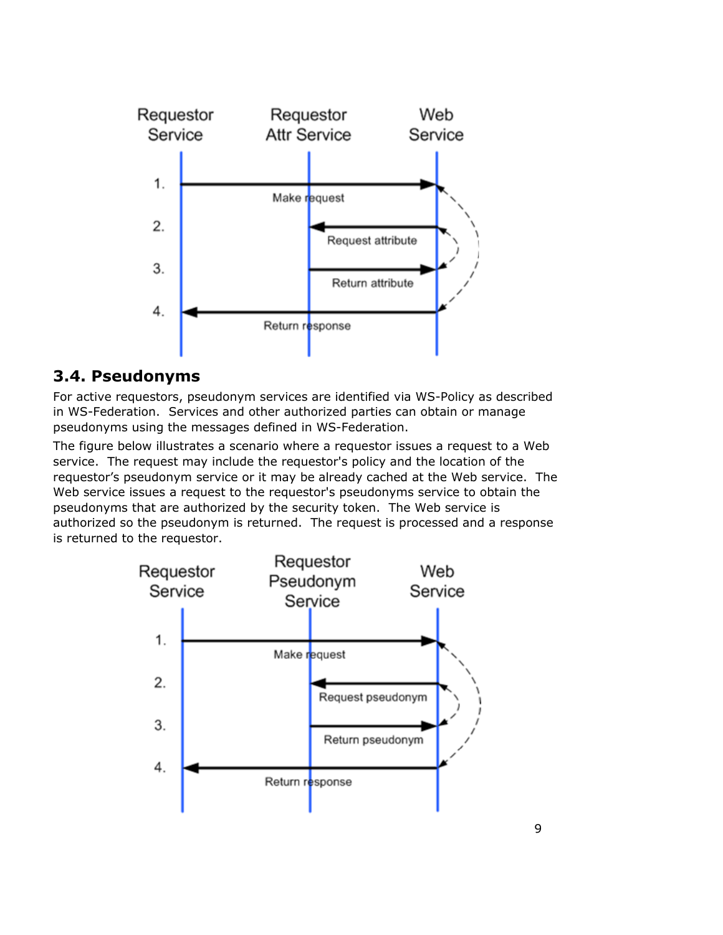

### **3.4. Pseudonyms**

For active requestors, pseudonym services are identified via WS-Policy as described in WS-Federation. Services and other authorized parties can obtain or manage pseudonyms using the messages defined in WS-Federation.

The figure below illustrates a scenario where a requestor issues a request to a Web service. The request may include the requestor's policy and the location of the requestor's pseudonym service or it may be already cached at the Web service. The Web service issues a request to the requestor's pseudonyms service to obtain the pseudonyms that are authorized by the security token. The Web service is authorized so the pseudonym is returned. The request is processed and a response is returned to the requestor.

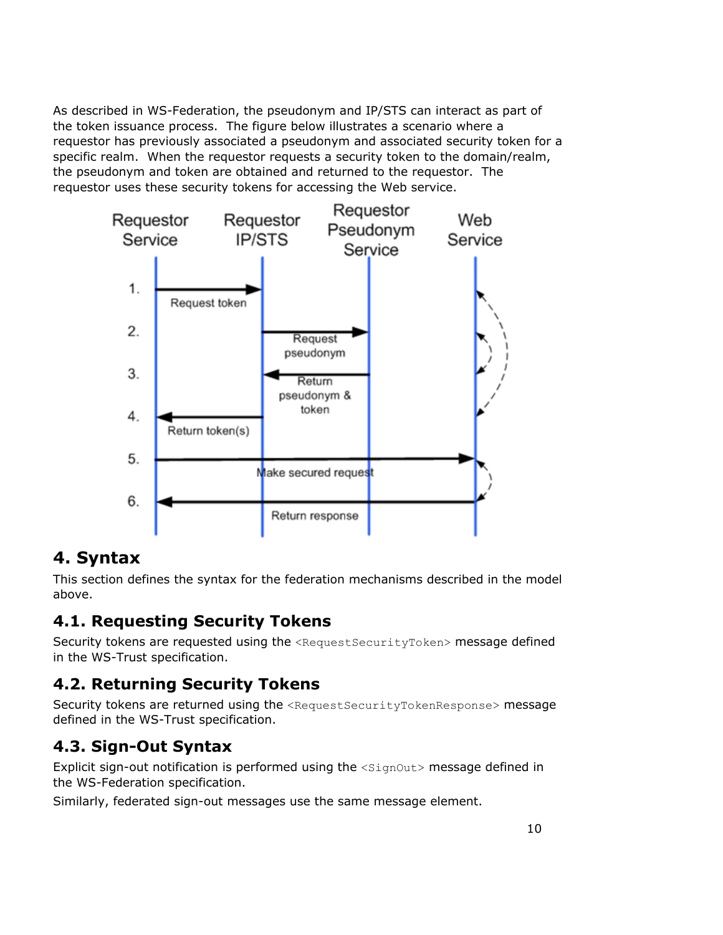As described in WS-Federation, the pseudonym and IP/STS can interact as part of the token issuance process. The figure below illustrates a scenario where a requestor has previously associated a pseudonym and associated security token for a specific realm. When the requestor requests a security token to the domain/realm, the pseudonym and token are obtained and returned to the requestor. The requestor uses these security tokens for accessing the Web service.



## **4. Syntax**

This section defines the syntax for the federation mechanisms described in the model above.

## **4.1. Requesting Security Tokens**

Security tokens are requested using the <RequestSecurityToken> message defined in the WS-Trust specification.

## **4.2. Returning Security Tokens**

Security tokens are returned using the <RequestSecurityTokenResponse> message defined in the WS-Trust specification.

## **4.3. Sign-Out Syntax**

Explicit sign-out notification is performed using the <SignOut> message defined in the WS-Federation specification.

Similarly, federated sign-out messages use the same message element.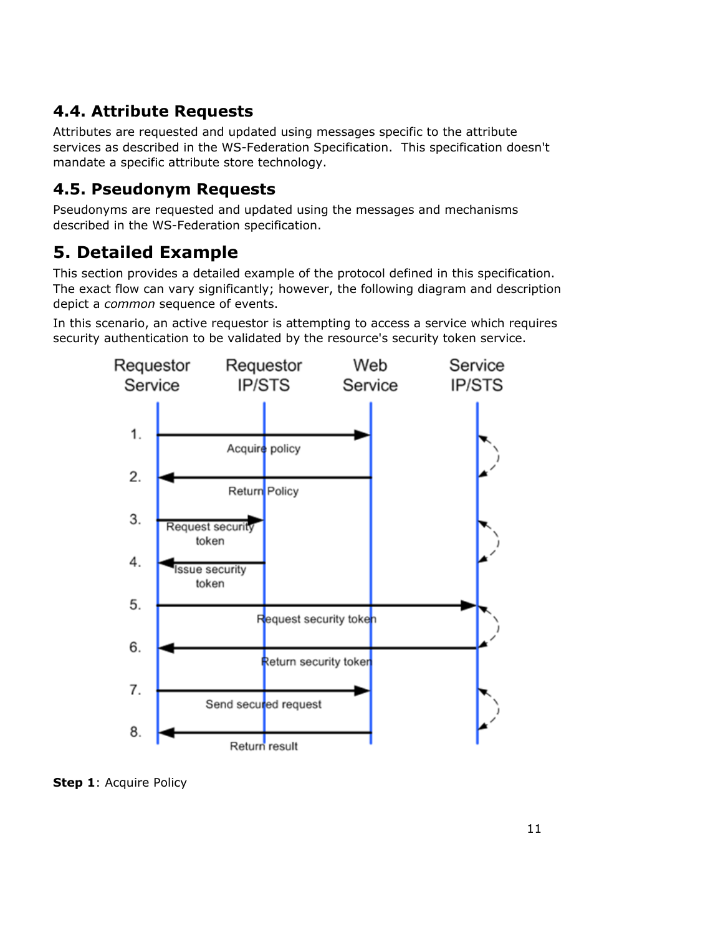## **4.4. Attribute Requests**

Attributes are requested and updated using messages specific to the attribute services as described in the WS-Federation Specification. This specification doesn't mandate a specific attribute store technology.

## **4.5. Pseudonym Requests**

Pseudonyms are requested and updated using the messages and mechanisms described in the WS-Federation specification.

# **5. Detailed Example**

This section provides a detailed example of the protocol defined in this specification. The exact flow can vary significantly; however, the following diagram and description depict a *common* sequence of events.

In this scenario, an active requestor is attempting to access a service which requires security authentication to be validated by the resource's security token service.



**Step 1: Acquire Policy**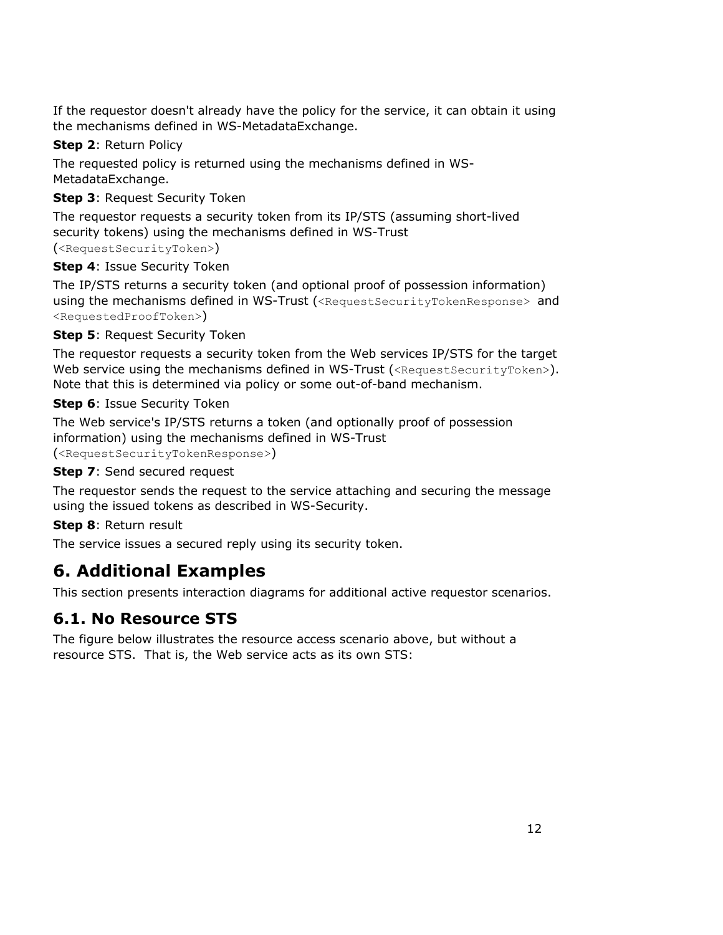If the requestor doesn't already have the policy for the service, it can obtain it using the mechanisms defined in WS-MetadataExchange.

### **Step 2**: Return Policy

The requested policy is returned using the mechanisms defined in WS-MetadataExchange.

### **Step 3**: Request Security Token

The requestor requests a security token from its IP/STS (assuming short-lived security tokens) using the mechanisms defined in WS-Trust (<RequestSecurityToken>)

### **Step 4**: Issue Security Token

The IP/STS returns a security token (and optional proof of possession information) using the mechanisms defined in WS-Trust (<RequestSecurityTokenResponse> and <RequestedProofToken>)

**Step 5: Request Security Token** 

The requestor requests a security token from the Web services IP/STS for the target Web service using the mechanisms defined in WS-Trust (<RequestSecurityToken>). Note that this is determined via policy or some out-of-band mechanism.

**Step 6**: Issue Security Token

The Web service's IP/STS returns a token (and optionally proof of possession information) using the mechanisms defined in WS-Trust (<RequestSecurityTokenResponse>)

### **Step 7: Send secured request**

The requestor sends the request to the service attaching and securing the message using the issued tokens as described in WS-Security.

### **Step 8**: Return result

The service issues a secured reply using its security token.

# **6. Additional Examples**

This section presents interaction diagrams for additional active requestor scenarios.

# **6.1. No Resource STS**

The figure below illustrates the resource access scenario above, but without a resource STS. That is, the Web service acts as its own STS: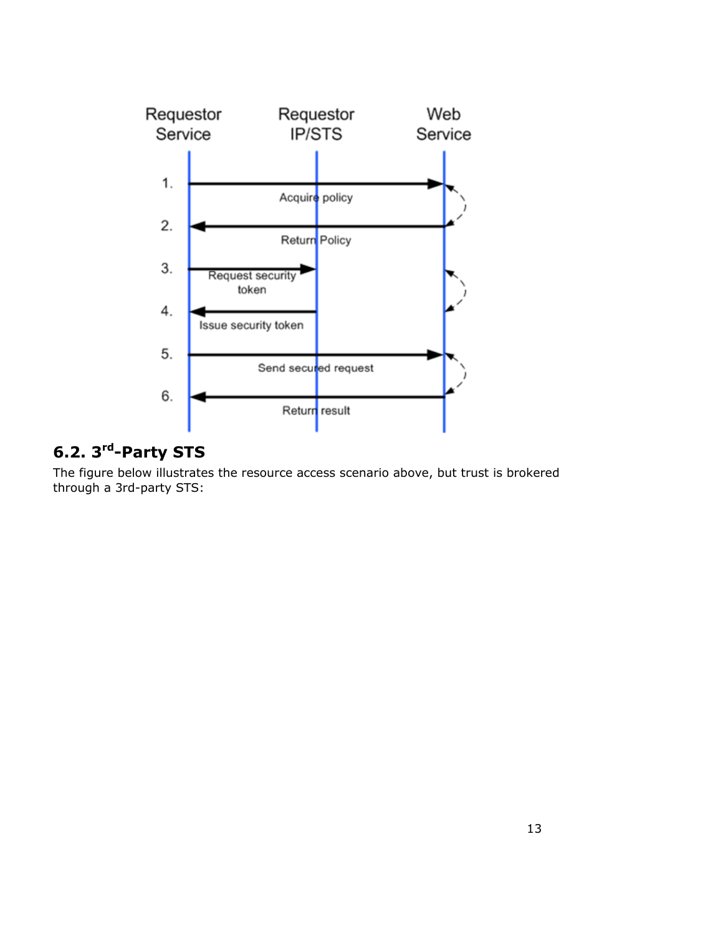

# **6.2. 3rd-Party STS**

The figure below illustrates the resource access scenario above, but trust is brokered through a 3rd-party STS: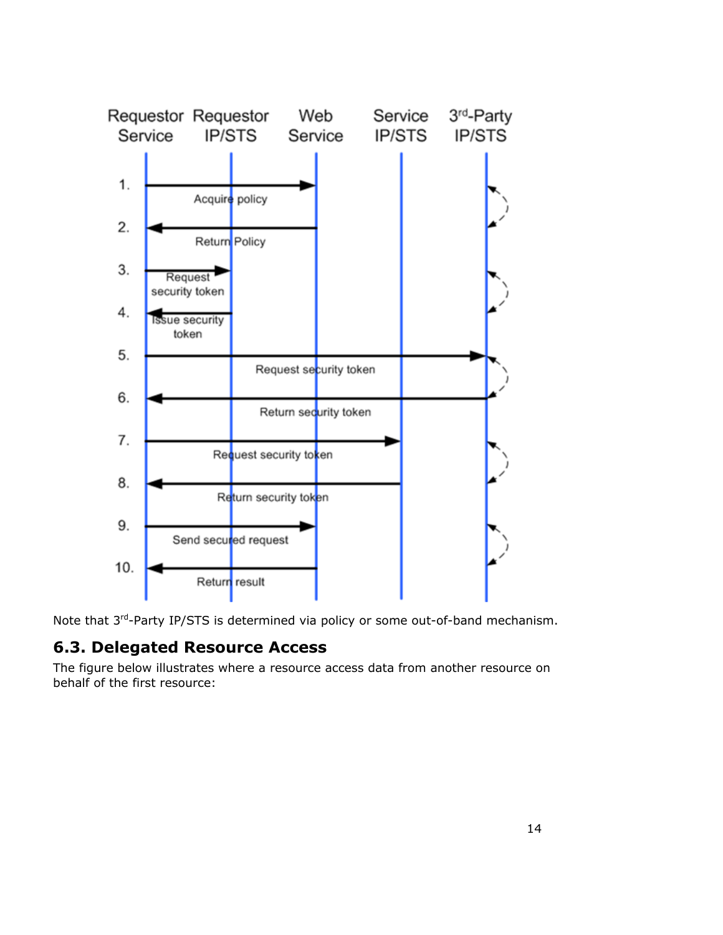

Note that 3<sup>rd</sup>-Party IP/STS is determined via policy or some out-of-band mechanism.

### **6.3. Delegated Resource Access**

The figure below illustrates where a resource access data from another resource on behalf of the first resource: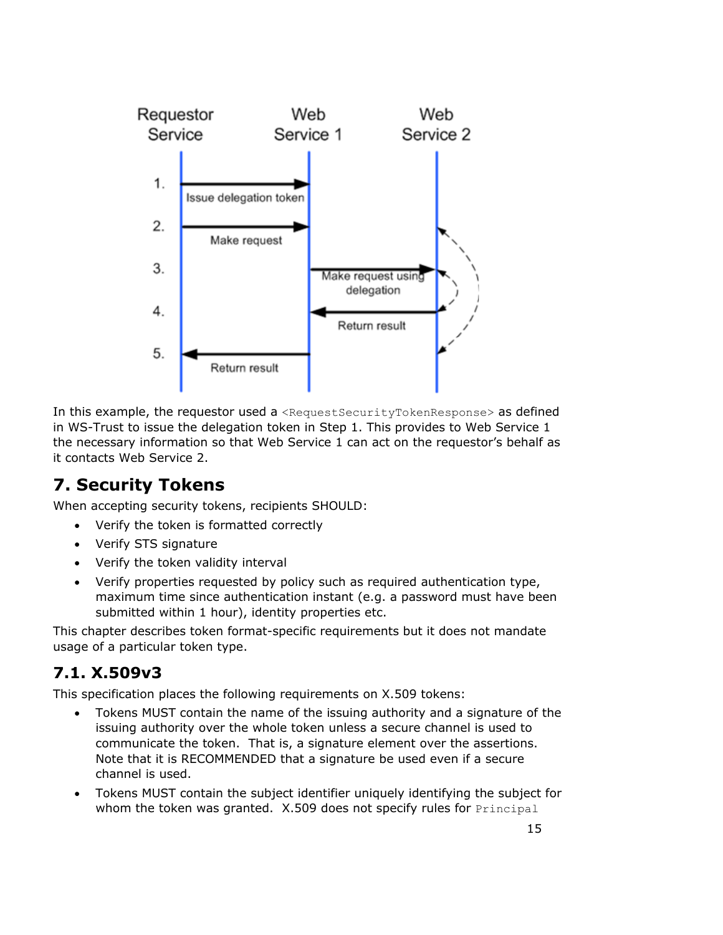

In this example, the requestor used a <RequestSecurityTokenResponse> as defined in WS-Trust to issue the delegation token in Step 1. This provides to Web Service 1 the necessary information so that Web Service 1 can act on the requestor's behalf as it contacts Web Service 2.

# **7. Security Tokens**

When accepting security tokens, recipients SHOULD:

- Verify the token is formatted correctly
- Verify STS signature
- Verify the token validity interval
- Verify properties requested by policy such as required authentication type, maximum time since authentication instant (e.g. a password must have been submitted within 1 hour), identity properties etc.

This chapter describes token format-specific requirements but it does not mandate usage of a particular token type.

# **7.1. X.509v3**

This specification places the following requirements on X.509 tokens:

- Tokens MUST contain the name of the issuing authority and a signature of the issuing authority over the whole token unless a secure channel is used to communicate the token. That is, a signature element over the assertions. Note that it is RECOMMENDED that a signature be used even if a secure channel is used.
- Tokens MUST contain the subject identifier uniquely identifying the subject for whom the token was granted. X.509 does not specify rules for Principal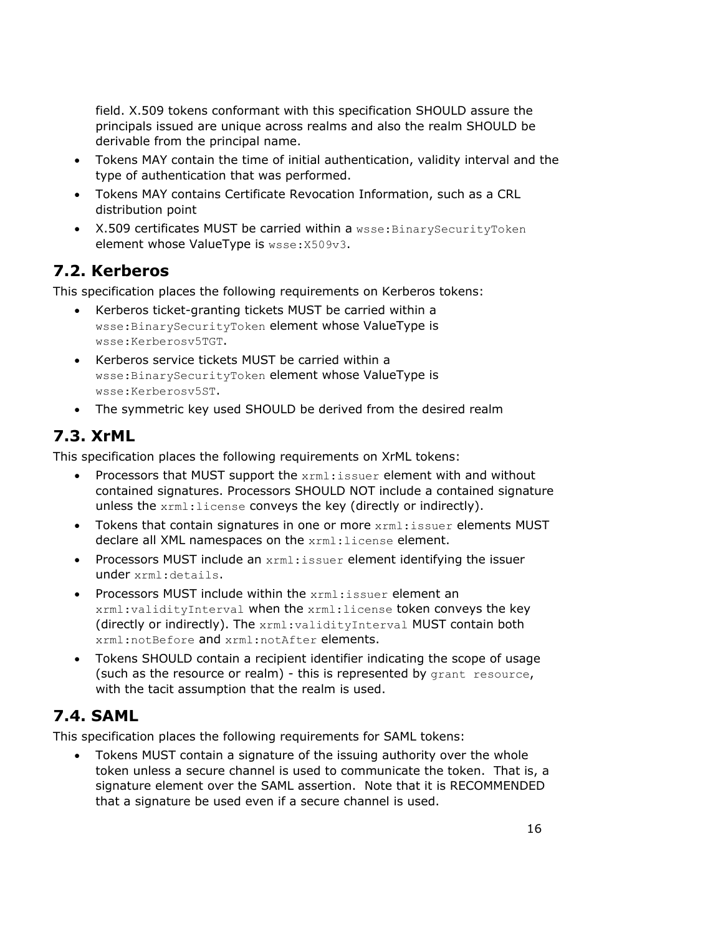field. X.509 tokens conformant with this specification SHOULD assure the principals issued are unique across realms and also the realm SHOULD be derivable from the principal name.

- Tokens MAY contain the time of initial authentication, validity interval and the type of authentication that was performed.
- Tokens MAY contains Certificate Revocation Information, such as a CRL distribution point
- X.509 certificates MUST be carried within a wsse: BinarySecurityToken element whose ValueType is wsse:X509v3.

# **7.2. Kerberos**

This specification places the following requirements on Kerberos tokens:

- Kerberos ticket-granting tickets MUST be carried within a wsse:BinarySecurityToken element whose ValueType is wsse:Kerberosv5TGT.
- Kerberos service tickets MUST be carried within a wsse:BinarySecurityToken element whose ValueType is wsse:Kerberosv5ST.
- The symmetric key used SHOULD be derived from the desired realm

# **7.3. XrML**

This specification places the following requirements on XrML tokens:

- Processors that MUST support the  $xrm:insuer$  element with and without contained signatures. Processors SHOULD NOT include a contained signature unless the xrml:license conveys the key (directly or indirectly).
- Tokens that contain signatures in one or more xrml: issuer elements MUST declare all XML namespaces on the xrml: license element.
- Processors MUST include an xrml:issuer element identifying the issuer under xrml:details.
- Processors MUST include within the xrml:issuer element an xrml:validityInterval when the xrml:license token conveys the key (directly or indirectly). The xrml:validityInterval MUST contain both xrml:notBefore and xrml:notAfter elements.
- Tokens SHOULD contain a recipient identifier indicating the scope of usage (such as the resource or realm) - this is represented by grant resource, with the tacit assumption that the realm is used.

# **7.4. SAML**

This specification places the following requirements for SAML tokens:

• Tokens MUST contain a signature of the issuing authority over the whole token unless a secure channel is used to communicate the token. That is, a signature element over the SAML assertion. Note that it is RECOMMENDED that a signature be used even if a secure channel is used.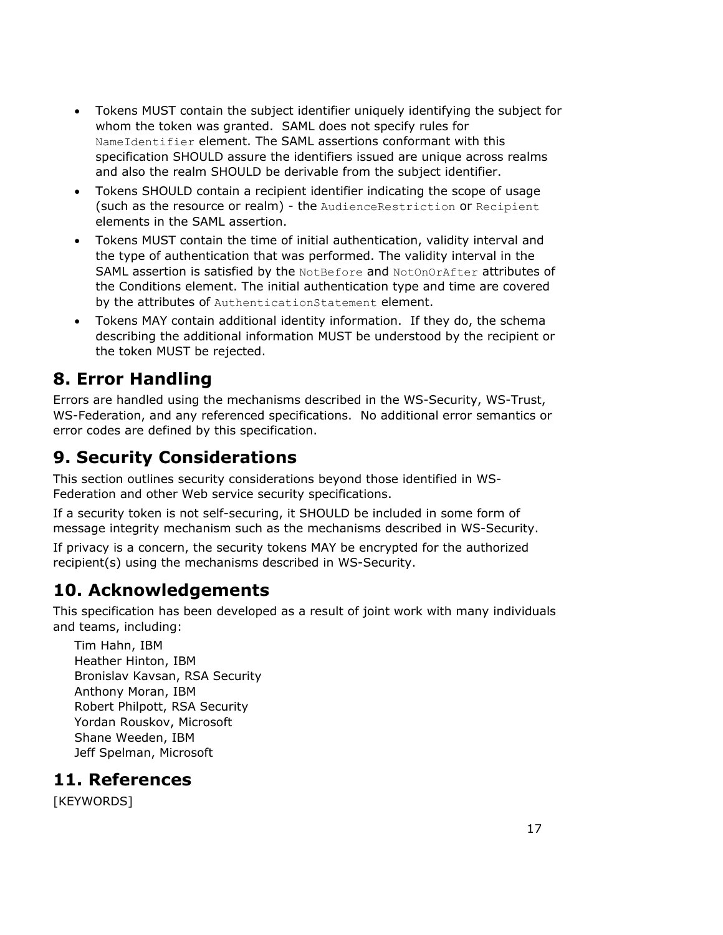- Tokens MUST contain the subject identifier uniquely identifying the subject for whom the token was granted. SAML does not specify rules for NameIdentifier element. The SAML assertions conformant with this specification SHOULD assure the identifiers issued are unique across realms and also the realm SHOULD be derivable from the subject identifier.
- Tokens SHOULD contain a recipient identifier indicating the scope of usage (such as the resource or realm) - the AudienceRestriction or Recipient elements in the SAML assertion.
- Tokens MUST contain the time of initial authentication, validity interval and the type of authentication that was performed. The validity interval in the SAML assertion is satisfied by the NotBefore and NotOnOrAfter attributes of the Conditions element. The initial authentication type and time are covered by the attributes of AuthenticationStatement element.
- Tokens MAY contain additional identity information. If they do, the schema describing the additional information MUST be understood by the recipient or the token MUST be rejected.

## **8. Error Handling**

Errors are handled using the mechanisms described in the WS-Security, WS-Trust, WS-Federation, and any referenced specifications. No additional error semantics or error codes are defined by this specification.

# **9. Security Considerations**

This section outlines security considerations beyond those identified in WS-Federation and other Web service security specifications.

If a security token is not self-securing, it SHOULD be included in some form of message integrity mechanism such as the mechanisms described in WS-Security.

If privacy is a concern, the security tokens MAY be encrypted for the authorized recipient(s) using the mechanisms described in WS-Security.

# **10. Acknowledgements**

This specification has been developed as a result of joint work with many individuals and teams, including:

Tim Hahn, IBM Heather Hinton, IBM Bronislav Kavsan, RSA Security Anthony Moran, IBM Robert Philpott, RSA Security Yordan Rouskov, Microsoft Shane Weeden, IBM Jeff Spelman, Microsoft

### **11. References**

[KEYWORDS]